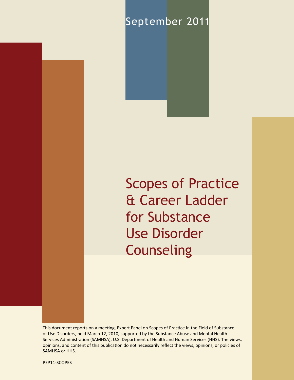# September 2011

Scopes of Practice & Career Ladder for Substance Use Disorder **Counseling** 

This document reports on a meeting, Expert Panel on Scopes of Practice In the Field of Substance of Use Disorders, held March 12, 2010, supported by the Substance Abuse and Mental Health Services Administration (SAMHSA), U.S. Department of Health and Human Services (HHS). The views, opinions, and content of this publication do not necessarily reflect the views, opinions, or policies of SAMHSA or HHS.

PEP11-SCOPES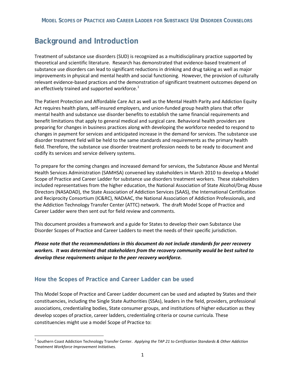# **Background and Introduction**

 Treatment of substance use disorders (SUD) is recognized as a multidisciplinary practice supported by theoretical and scientific literature. Research has demonstrated that evidence-based treatment of improvements in physical and mental health and social functioning. However, the provision of culturally substance use disorders can lead to significant reductions in drinking and drug taking as well as major relevant evidence-based practices and the demonstration of significant treatment outcomes depend on an effectively trained and supported workforce.<sup>1</sup>

 mental health and substance use disorder benefits to establish the same financial requirements and preparing for changes in business practices along with developing the workforce needed to respond to disorder treatment field will be held to the same standards and requirements as the primary health codify its services and service delivery systems. The Patient Protection and Affordable Care Act as well as the Mental Health Parity and Addiction Equity Act requires health plans, self-insured employers, and union-funded group health plans that offer benefit limitations that apply to general medical and surgical care. Behavioral health providers are changes in payment for services and anticipated increase in the demand for services. The substance use field. Therefore, the substance use disorder treatment profession needs to be ready to document and

 the Addiction Technology Transfer Center (ATTC) network. The draft Model Scope of Practice and To prepare for the coming changes and increased demand for services, the Substance Abuse and Mental Health Services Administration (SAMHSA) convened key stakeholders in March 2010 to develop a Model Scope of Practice and Career Ladder for substance use disorders treatment workers. These stakeholders included representatives from the higher education, the National Association of State Alcohol/Drug Abuse Directors (NASADAD), the State Association of Addiction Services (SAAS), the International Certification and Reciprocity Consortium (IC&RC), NADAAC, the National Association of Addiction Professionals, and Career Ladder were then sent out for field review and comments.

 Disorder Scopes of Practice and Career Ladders to meet the needs of their specific jurisdiction. This document provides a framework and a guide for States to develop their own Substance Use

 *Please note that the recommendations in this document do not include standards for peer recovery workers. It was determined that stakeholders from the recovery community would be best suited to develop these requirements unique to the peer recovery workforce.* 

## **How the Scopes of Practice and Career Ladder can be used**

 $\overline{\phantom{a}}$ 

 constituencies, including the Single State Authorities (SSAs), leaders in the field, providers, professional constituencies might use a model Scope of Practice to: This Model Scope of Practice and Career Ladder document can be used and adapted by States and their associations, credentialing bodies, State consumer groups, and institutions of higher education as they develop scopes of practice, career ladders, credentialing criteria or course curricula. These

<sup>&</sup>lt;sup>1</sup> Southern Coast Addiction Technology Transfer Center. *Applying the TAP 21 to Certification Standards & Other Addiction Treatment Workforce Improvement Initiatives.*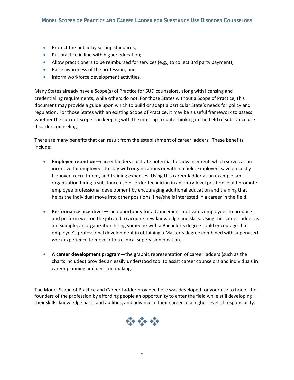- Protect the public by setting standards;
- •Put practice in line with higher education;
- Allow practitioners to be reimbursed for services (e.g., to collect 3rd party payment);
- •Raise awareness of the profession; and
- •Inform workforce development activities.

 regulation. For those States with an existing Scope of Practice, it may be a useful framework to assess Many States already have a Scope(s) of Practice for SUD counselors, along with licensing and credentialing requirements, while others do not. For those States without a Scope of Practice, this document may provide a guide upon which to build or adapt a particular State's needs for policy and whether the current Scope is in keeping with the most up-to-date thinking in the field of substance use disorder counseling.

There are many benefits that can result from the establishment of career ladders. These benefits include:

- •**Employee retention**—career ladders illustrate potential for advancement, which serves as an incentive for employees to stay with organizations or within a field. Employers save on costly turnover, recruitment, and training expenses. Using this career ladder as an example, an organization hiring a substance use disorder technician in an entry-level position could promote employee professional development by encouraging additional education and training that helps the individual move into other positions if he/she is interested in a career in the field.
- and perform well on the job and to acquire new knowledge and skills. Using this career ladder as employee's professional development in obtaining a Master's degree combined with supervised •**Performance incentives—**the opportunity for advancement motivates employees to produce an example, an organization hiring someone with a Bachelor's degree could encourage that work experience to move into a clinical supervision position.
- charts included) provides an easily understood tool to assist career counselors and individuals in •**A career development program—**the graphic representation of career ladders (such as the career planning and decision-making.

The Model Scope of Practice and Career Ladder provided here was developed for your use to honor the founders of the profession by affording people an opportunity to enter the field while still developing their skills, knowledge base, and abilities, and advance in their career to a higher level of responsibility.

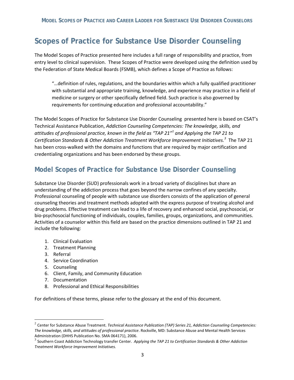# **Scopes of Practice for Substance Use Disorder Counseling**

 The Model Scopes of Practice presented here includes a full range of responsibility and practice, from entry level to clinical supervision. These Scopes of Practice were developed using the definition used by the Federation of State Medical Boards (FSMB), which defines a Scope of Practice as follows:

requirements for continuing education and professional accountability." "…definition of rules, regulations, and the boundaries within which a fully qualified practitioner with substantial and appropriate training, knowledge, and experience may practice in a field of medicine or surgery or other specifically defined field. Such practice is also governed by

 requirements for continuing education and professional accountability." The Model Scopes of Practice for Substance Use Disorder Counseling presented here is based on CSAT's credentialing organizations and has been endorsed by these groups. Technical Assistance Publication, *Addiction Counseling Competencies: The knowledge, skills, and attitudes of professional practice, known in the field as "TAP 21"*<sup>2</sup>*and Applying the TAP 21 to Certification Standards & Other Addiction Treatment Workforce Improvement Initiatives. <sup>3</sup>*The TAP 21 has been cross-walked with the domains and functions that are required by major certification and

# **Model Scopes of Practice for Substance Use Disorder Counseling**

 Substance Use Disorder (SUD) professionals work in a broad variety of disciplines but share an Professional counseling of people with substance use disorders consists of the application of general drug problems. Effective treatment can lead to a life of recovery and enhanced social, psychosocial, or understanding of the addiction process that goes beyond the narrow confines of any specialty. counseling theories and treatment methods adopted with the express purpose of treating alcohol and bio-psychosocial functioning of individuals, couples, families, groups, organizations, and communities. Activities of a counselor within this field are based on the practice dimensions outlined in TAP 21 and include the following:

- 1. Clinical Evaluation
- 2. Treatment Planning
- 3. Referral
- 4. Service Coordination
- 5. Counseling

 $\overline{\phantom{a}}$ 

- 6. Client, Family, and Community Education
- 7. Documentation
- 8. Professional and Ethical Responsibilities

For definitions of these terms, please refer to the glossary at the end of this document.

<sup>&</sup>lt;sup>2</sup> Center for Substance Abuse Treatment. *Technical Assistance Publication (TAP) Series 21, Addiction Counseling Competencies:*<br>*The knowledge, skills, and attitudes of professional practice*. Rockville, MD: Substance Abu

Applying the TAP 21 to Certification Standards & Other Addiction Administration (DHHS Publication No. SMA 064171), 2006.<br><sup>3</sup> Southern Coast Addiction Technology transfer Center. *Applying the TAP 21 to Certification Standards & Other Addiction*<br>Treatment Workforce Improvement Initiative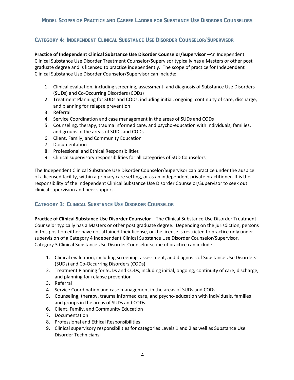# **CATEGORY 4: INDEPENDENT CLINICAL SUBSTANCE USE DISORDER COUNSELOR/SUPERVISOR**

 **Practice of Independent Clinical Substance Use Disorder Counselor/Supervisor** –An Independent Clinical Substance Use Disorder Treatment Counselor/Supervisor typically has a Masters or other post graduate degree and is licensed to practice independently. The scope of practice for Independent Clinical Substance Use Disorder Counselor/Supervisor can include:

- 1. Clinical evaluation, including screening, assessment, and diagnosis of Substance Use Disorders (SUDs) and Co-Occurring Disorders (CODs)
- (SUDs) and Co-Occurring Disorders (CODs)<br>2. Treatment Planning for SUDs and CODs, including initial, ongoing, continuity of care, discharge, and planning for relapse prevention
- 3. Referral
- 4. Service Coordination and case management in the areas of SUDs and CODs
- 5. Counseling, therapy, trauma informed care, and psycho-education with individuals, families, and groups in the areas of SUDs and CODs
- 6. Client, Family, and Community Education
- 7.Documentation
- 8. Professional and Ethical Responsibilities
- 9. Clinical supervisory responsibilities for all categories of SUD Counselors

 The Independent Clinical Substance Use Disorder Counselor/Supervisor can practice under the auspice of a licensed facility, within a primary care setting, or as an independent private practitioner. It is the responsibility of the Independent Clinical Substance Use Disorder Counselor/Supervisor to seek out clinical supervision and peer support.

## **CATEGORY 3: CLINICAL SUBSTANCE USE DISORDER COUNSELOR**

 **Practice of Clinical Substance Use Disorder Counselor** – The Clinical Substance Use Disorder Treatment Counselor typically has a Masters or other post graduate degree. Depending on the jurisdiction, persons in this position either have not attained their license, or the license is restricted to practice only under supervision of a Category 4 Independent Clinical Substance Use Disorder Counselor/Supervisor.<br>Category 3 Clinical Substance Use Disorder Counselor scope of practice can include:

- 1. Clinical evaluation, including screening, assessment, and diagnosis of Substance Use Disorders (SUDs) and Co-Occurring Disorders (CODs)
- (SUDs) and Co-Occurring Disorders (CODs)<br>2. Treatment Planning for SUDs and CODs, including initial, ongoing, continuity of care, discharge, and planning for relapse prevention
- 3. Referral
- 4. Service Coordination and case management in the areas of SUDs and CODs
- 5. Counseling, therapy, trauma informed care, and psycho-education with individuals, families and groups in the areas of SUDs and CODs
- 6. Client, Family, and Community Education
- 7.Documentation
- 8. Professional and Ethical Responsibilities
- 9. Clinical supervisory responsibilities for categories Levels 1 and 2 as well as Substance Use Disorder Technicians.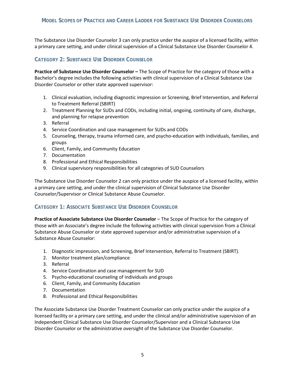The Substance Use Disorder Counselor 3 can only practice under the auspice of a licensed facility, within a primary care setting, and under clinical supervision of a Clinical Substance Use Disorder Counselor 4.

# **CATEGORY 2: SUBSTANCE USE DISORDER COUNSELOR**

**Practice of Substance Use Disorder Counselor –** The Scope of Practice for the category of those with a Bachelor's degree includes the following activities with clinical supervision of a Clinical Substance Use Disorder Counselor or other state approved supervisor:

- 1. Clinical evaluation, including diagnostic impression or Screening, Brief Intervention, and Referral to Treatment Referral (SBIRT)
- 2. Treatment Planning for SUDs and CODs, including initial, ongoing, continuity of care, discharge, and planning for relapse prevention<br>3. Referral
- 3. Referral
- 4. Service Coordination and case management for SUDs and CODs
- 5. Counseling, therapy, trauma informed care, and psycho-education with individuals, families, and groups
- 6. Client, Family, and Community Education
- 7.Documentation
- 8. Professional and Ethical Responsibilities
- 9. Clinical supervisory responsibilities for all categories of SUD Counselors

The Substance Use Disorder Counselor 2 can only practice under the auspice of a licensed facility, within a primary care setting, and under the clinical supervision of Clinical Substance Use Disorder Counselor/Supervisor or Clinical Substance Abuse Counselor.

## **CATEGORY 1: ASSOCIATE SUBSTANCE USE DISORDER COUNSELOR**

 **Practice of Associate Substance Use Disorder Counselor** – The Scope of Practice for the category of those with an Associate's degree include the following activities with clinical supervision from a Clinical Substance Abuse Counselor or state approved supervisor and/or administrative supervision of a Substance Abuse Counselor:

- 1. Diagnostic impression, and Screening, Brief Intervention, Referral to Treatment (SBIRT).
- 2.Monitor treatment plan/compliance
- 3. Referral
- 4. Service Coordination and case management for SUD
- 5.Psycho-educational counseling of individuals and groups
- 6. Client, Family, and Community Education
- 7.Documentation
- 8. Professional and Ethical Responsibilities

 Independent Clinical Substance Use Disorder Counselor/Supervisor and a Clinical Substance Use The Associate Substance Use Disorder Treatment Counselor can only practice under the auspice of a licensed facility or a primary care setting, and under the clinical and/or administrative supervision of an Disorder Counselor or the administrative oversight of the Substance Use Disorder Counselor.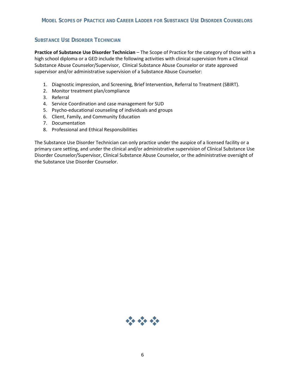## **SUBSTANCE USE DISORDER TECHNICIAN**

 **Practice of Substance Use Disorder Technician** – The Scope of Practice for the category of those with a supervisor and/or administrative supervision of a Substance Abuse Counselor: high school diploma or a GED include the following activities with clinical supervision from a Clinical Substance Abuse Counselor/Supervisor, Clinical Substance Abuse Counselor or state approved

- 1. Diagnostic impression, and Screening, Brief Intervention, Referral to Treatment (SBIRT).
- 2. Monitor treatment plan/compliance
- 3. Referral
- 4. Service Coordination and case management for SUD
- 5. Psycho-educational counseling of individuals and groups
- 6. Client, Family, and Community Education
- 7. Documentation
- 8. Professional and Ethical Responsibilities

The Substance Use Disorder Technician can only practice under the auspice of a licensed facility or a primary care setting, and under the clinical and/or administrative supervision of Clinical Substance Use Disorder Counselor/Supervisor, Clinical Substance Abuse Counselor, or the administrative oversight of the Substance Use Disorder Counselor.

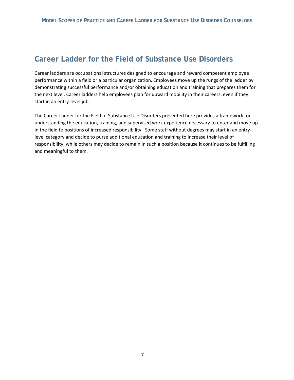the next level. Career ladders help employees plan for upward mobility in their careers, even if they Career ladders are occupational structures designed to encourage and reward competent employee performance within a field or a particular organization. Employees move up the rungs of the ladder by demonstrating successful performance and/or obtaining education and training that prepares them for start in an entry-level job.

 understanding the education, training, and supervised work experience necessary to enter and move up in the field to positions of increased responsibility. Some staff without degrees may start in an entry-The Career Ladder for the Field of Substance Use Disorders presented here provides a framework for level category and decide to purse additional education and training to increase their level of responsibility, while others may decide to remain in such a position because it continues to be fulfilling and meaningful to them.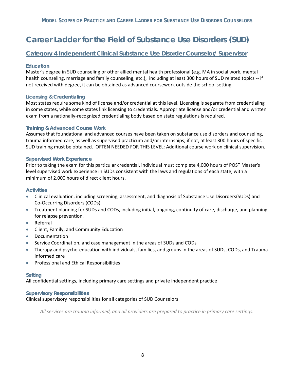# **Category 4 Independent Clinical Substance Use Disorder Counselor/ Supervisor**

## **Education**

 health counseling, marriage and family counseling, etc.), including at least 300 hours of SUD related topics -- if not received with degree, it can be obtained as advanced coursework outside the school setting. Master's degree in SUD counseling or other allied mental health professional (e.g. MA in social work, mental

### **Licensing & Credentialing**

 in some states, while some states link licensing to credentials. Appropriate license and/or credential and written exam from a nationally-recognized credentialing body based on state regulations is required. Most states require some kind of license and/or credential at this level. Licensing is separate from credentialing

## **Training & Advanced Course Work**

 trauma informed care, as well as supervised practicum and/or internships; if not, at least 300 hours of specific Assumes that foundational and advanced courses have been taken on substance use disorders and counseling, SUD training must be obtained. OFTEN NEEDED FOR THIS LEVEL: Additional course work on clinical supervision.

### **Supervised Work Experience**

 Prior to taking the exam for this particular credential, individual must complete 4,000 hours of POST Master's minimum of 2,000 hours of direct client hours. level supervised work experience in SUDs consistent with the laws and regulations of each state, with a

### **Activities**

- Clinical evaluation, including screening, assessment, and diagnosis of Substance Use Disorders(SUDs) and Co-Occurring Disorders (CODs)
- • Treatment planning for SUDs and CODs, including initial, ongoing, continuity of care, discharge, and planning for relapse prevention.
- **Referral**
- • Client, Family, and Community Education
- **Documentation**
- Service Coordination, and case management in the areas of SUDs and CODs
- Therapy and psycho-education with individuals, families, and groups in the areas of SUDs, CODs, and Trauma informed care
- • Professional and Ethical Responsibilities

### **Setting**

All confidential settings, including primary care settings and private independent practice

### **Supervisory Responsibilities**

### Clinical supervisory responsibilities for all categories of SUD Counselors

 *All services are trauma informed, and all providers are prepared to practice in primary care settings.*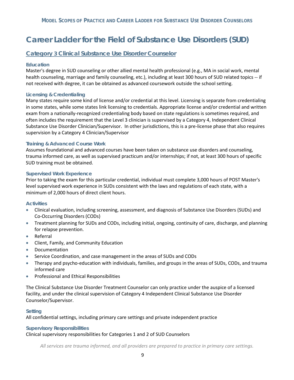# **Category 3 Clinical Substance Use Disorder Counselor**

### **Education**

 Master's degree in SUD counseling or other allied mental health professional (e.g., MA in social work, mental health counseling, marriage and family counseling, etc.), including at least 300 hours of SUD related topics -- if not received with degree, it can be obtained as advanced coursework outside the school setting.

## **Licensing & Credentialing**

 Many states require some kind of license and/or credential at this level. Licensing is separate from credentialing in some states, while some states link licensing to credentials. Appropriate license and/or credential and written often includes the requirement that the Level 3 clinician is supervised by a Category 4, Independent Clinical exam from a nationally-recognized credentialing body based on state regulations is sometimes required, and Substance Use Disorder Clinician/Supervisor. In other jurisdictions, this is a pre-license phase that also requires supervision by a Category 4 Clinician/Supervisor

### **Training & Advanced Course Work**

 trauma informed care, as well as supervised practicum and/or internships; if not, at least 300 hours of specific SUD training must be obtained. Assumes foundational and advanced courses have been taken on substance use disorders and counseling,

### **Supervised Work Experience**

 Prior to taking the exam for this particular credential, individual must complete 3,000 hours of POST Master's level supervised work experience in SUDs consistent with the laws and regulations of each state, with a minimum of 2,000 hours of direct client hours.

### **Activities**

- • Clinical evaluation, including screening, assessment, and diagnosis of Substance Use Disorders (SUDs) and Co-Occurring Disorders (CODs)
- • Treatment planning for SUDs and CODs, including initial, ongoing, continuity of care, discharge, and planning for relapse prevention.
- • Referral
- Client, Family, and Community Education
- • Documentation
- Service Coordination, and case management in the areas of SUDs and CODs
- Therapy and psycho-education with individuals, families, and groups in the areas of SUDs, CODs, and trauma informed care
- Professional and Ethical Responsibilities

 facility, and under the clinical supervision of Category 4 Independent Clinical Substance Use Disorder Counselor/Supervisor. • Professional and Ethical Responsibilities<br>The Clinical Substance Use Disorder Treatment Counselor can only practice under the auspice of a licensed

### **Setting**

All confidential settings, including primary care settings and private independent practice

### **Supervisory Responsibilities**

Clinical supervisory responsibilities for Categories 1 and 2 of SUD Counselors

*All services are trauma informed, and all providers are prepared to practice in primary care settings.*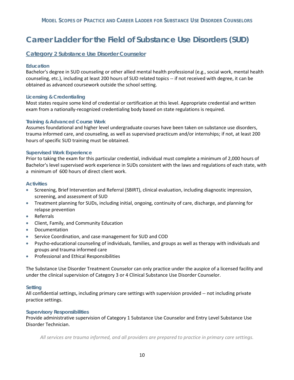## **Category 2 Substance Use Disorder Counselor**

### **Education**

 Bachelor's degree in SUD counseling or other allied mental health professional (e.g., social work, mental health counseling, etc.), including at least 200 hours of SUD related topics -- if not received with degree, it can be obtained as advanced coursework outside the school setting.

### **Licensing & Credentialing**

 Most states require some kind of credential or certification at this level. Appropriate credential and written exam from a nationally-recognized credentialing body based on state regulations is required.

### **Training & Advanced Course Work**

 trauma informed care, and counseling, as well as supervised practicum and/or internships; if not, at least 200 Assumes foundational and higher level undergraduate courses have been taken on substance use disorders, hours of specific SUD training must be obtained.

### **Supervised Work Experience**

 Prior to taking the exam for this particular credential, individual must complete a minimum of 2,000 hours of Bachelor's level supervised work experience in SUDs consistent with the laws and regulations of each state, with a minimum of 600 hours of direct client work.

#### **Activities**

- • Screening, Brief Intervention and Referral (SBIRT), clinical evaluation, including diagnostic impression, screening, and assessment of SUD
- Treatment planning for SUDs, including initial, ongoing, continuity of care, discharge, and planning for relapse prevention
- • Referrals
- Client, Family, and Community Education
- **Documentation**
- Service Coordination, and case management for SUD and COD
- • Psycho-educational counseling of individuals, families, and groups as well as therapy with individuals and groups and trauma informed care
- • Professional and Ethical Responsibilities

The Substance Use Disorder Treatment Counselor can only practice under the auspice of a licensed facility and under the clinical supervision of Category 3 or 4 Clinical Substance Use Disorder Counselor.

### **Setting**

All confidential settings, including primary care settings with supervision provided -- not including private practice settings.

### **Supervisory Responsibilities**

 Provide administrative supervision of Category 1 Substance Use Counselor and Entry Level Substance Use Disorder Technician.

*All services are trauma informed, and all providers are prepared to practice in primary care settings.*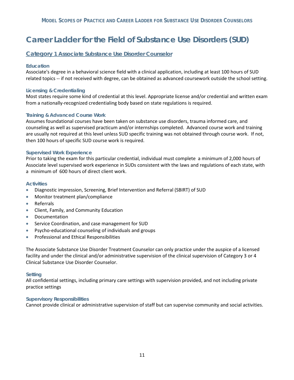## **Category 1 Associate Substance Use Disorder Counselor**

### **Education**

 Associate's degree in a behavioral science field with a clinical application, including at least 100 hours of SUD related topics -- if not received with degree, can be obtained as advanced coursework outside the school setting.

### **Licensing & Credentialing**

 Most states require some kind of credential at this level. Appropriate license and/or credential and written exam from a nationally-recognized credentialing body based on state regulations is required.

### **Training & Advanced Course Work**

 are usually not required at this level unless SUD specific training was not obtained through course work. If not, then 100 hours of specific SUD course work is required. Assumes foundational courses have been taken on substance use disorders, trauma informed care, and counseling as well as supervised practicum and/or internships completed. Advanced course work and training

### **Supervised Work Experience**

 Prior to taking the exam for this particular credential, individual must complete a minimum of 2,000 hours of Associate level supervised work experience in SUDs consistent with the laws and regulations of each state, with a minimum of 600 hours of direct client work.

### **Activities**

- Diagnostic impression, Screening, Brief Intervention and Referral (SBIRT) of SUD
- Monitor treatment plan/compliance
- Referrals
- Client, Family, and Community Education
- Documentation
- Service Coordination, and case management for SUD
- Psycho-educational counseling of individuals and groups
- Professional and Ethical Responsibilities

 facility and under the clinical and/or administrative supervision of the clinical supervision of Category 3 or 4 • Professional and Ethical Responsibilities<br>The Associate Substance Use Disorder Treatment Counselor can only practice under the auspice of a licensed Clinical Substance Use Disorder Counselor.

### **Setting**

All confidential settings, including primary care settings with supervision provided, and not including private practice settings

### **Supervisory Responsibilities**

Cannot provide clinical or administrative supervision of staff but can supervise community and social activities.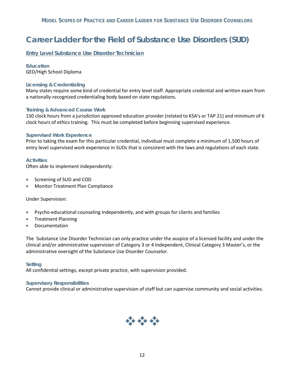**Entry Level Substance Use Disorder Technician** 

### **Education**  GED/High School Diploma

### **Licensing & Credentialing**

 Many states require some kind of credential for entry level staff. Appropriate credential and written exam from a nationally-recognized credentialing body based on state regulations.

### **Training & Advanced Course Work**

 150 clock hours from a jurisdiction approved education provider (related to KSA's or TAP 21) and minimum of 6 clock hours of ethics training. This must be completed before beginning supervised experience.

### **Supervised Work Experience**

 Prior to taking the exam for this particular credential, individual must complete a minimum of 1,500 hours of entry level supervised work experience in SUDs that is consistent with the laws and regulations of each state.

### **Activities**

Often able to implement independently:

- Screening of SUD and COD
- Monitor Treatment Plan Compliance<br>Under Supervision:

**Under Supervision:** 

- Psycho-educational counseling independently, and with groups for clients and families
- Treatment Planning
- Documentation

• Documentation<br>The Substance Use Disorder Technician can only practice under the auspice of a licensed facility and under the clinical and/or administrative supervision of Category 3 or 4 Independent, Clinical Category 3 Master's, or the administrative oversight of the Substance Use Disorder Counselor.

### **Setting**

All confidential settings, except private practice, with supervision provided.

### **Supervisory Responsibilities**

Cannot provide clinical or administrative supervision of staff but can supervise community and social activities.

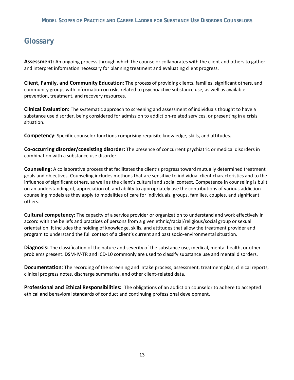# **Glossary**

**Assessment:** An ongoing process through which the counselor collaborates with the client and others to gather and interpret information necessary for planning treatment and evaluating client progress.

 **Client, Family, and Community Education**: The process of providing clients, families, significant others, and community groups with information on risks related to psychoactive substance use, as well as available prevention, treatment, and recovery resources.

 **Clinical Evaluation:** The systematic approach to screening and assessment of individuals thought to have a substance use disorder, being considered for admission to addiction-related services, or presenting in a crisis situation.

**Competency**: Specific counselor functions comprising requisite knowledge, skills, and attitudes.

**Co-occurring disorder/coexisting disorder:** The presence of concurrent psychiatric or medical disorders in combination with a substance use disorder.

 goals and objectives. Counseling includes methods that are sensitive to individual client characteristics and to the influence of significant others, as well as the client's cultural and social context. Competence in counseling is built **Counseling:** A collaborative process that facilitates the client's progress toward mutually determined treatment on an understanding of, appreciation of, and ability to appropriately use the contributions of various addiction counseling models as they apply to modalities of care for individuals, groups, families, couples, and significant others.

 accord with the beliefs and practices of persons from a given ethnic/racial/religious/social group or sexual **Cultural competency:** The capacity of a service provider or organization to understand and work effectively in orientation. It includes the holding of knowledge, skills, and attitudes that allow the treatment provider and program to understand the full context of a client's current and past socio-environmental situation.

 problems present. DSM-IV-TR and ICD-10 commonly are used to classify substance use and mental disorders. **Diagnosis:** The classification of the nature and severity of the substance use, medical, mental health, or other

**Documentation**: The recording of the screening and intake process, assessment, treatment plan, clinical reports, clinical progress notes, discharge summaries, and other client-related data.

 **Professional and Ethical Responsibilities:** The obligations of an addiction counselor to adhere to accepted ethical and behavioral standards of conduct and continuing professional development. ethical and behavioral standards of conduct and continuing professional development.<br>
.<br>
13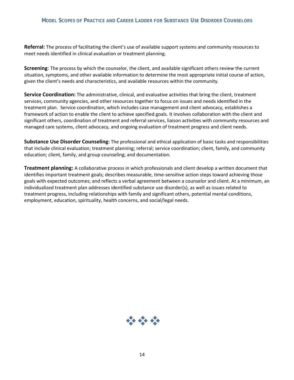**Referral:** The process of facilitating the client's use of available support systems and community resources to meet needs identified in clinical evaluation or treatment planning.

 situation, symptoms, and other available information to determine the most appropriate initial course of action, **Screening**: The process by which the counselor, the client, and available significant others review the current given the client's needs and characteristics, and available resources within the community.

 **Service Coordination:** The administrative, clinical, and evaluative activities that bring the client, treatment services, community agencies, and other resources together to focus on issues and needs identified in the treatment plan. Service coordination, which includes case management and client advocacy, establishes a framework of action to enable the client to achieve specified goals. It involves collaboration with the client and significant others, coordination of treatment and referral services, liaison activities with community resources and managed care systems, client advocacy, and ongoing evaluation of treatment progress and client needs.

 **Substance Use Disorder Counseling:** The professional and ethical application of basic tasks and responsibilities that include clinical evaluation; treatment planning; referral; service coordination; client, family, and community education; client, family, and group counseling; and documentation.

**Treatment planning:** A collaborative process in which professionals and client develop a written document that identifies important treatment goals; describes measurable, time-sensitive action steps toward achieving those goals with expected outcomes; and reflects a verbal agreement between a counselor and client. At a minimum, an individualized treatment plan addresses identified substance use disorder(s), as well as issues related to treatment progress, including relationships with family and significant others, potential mental conditions, employment, education, spirituality, health concerns, and social/legal needs.

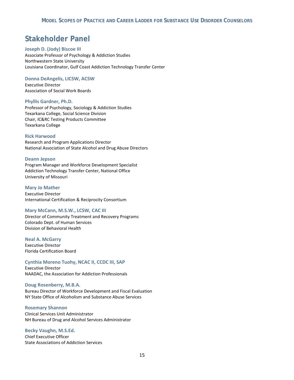# **Stakeholder Panel**

### **Joseph D. (Jody) Biscoe III**

Associate Professor of Psychology & Addiction Studies Northwestern State University Louisiana Coordinator, Gulf Coast Addiction Technology Transfer Center

#### **Donna DeAngelis, LICSW, ACSW**

Executive Director Association of Social Work Boards

#### **Phyllis Gardner, Ph.D.**

Professor of Psychology, Sociology & Addiction Studies Texarkana College, Social Science Division Chair, IC&RC Testing Products Committee Texarkana College

### **Rick Harwood**

Research and Program Applications Director National Association of State Alcohol and Drug Abuse Directors

#### **Deann Jepson**

Program Manager and Workforce Development Specialist Addiction Technology Transfer Center, National Office University of Missouri

#### **Mary Jo Mather**

Executive Director International Certification & Reciprocity Consortium

### **Mary McCann, M.S.W., LCSW, CAC III**

Director of Community Treatment and Recovery Programs Colorado Dept. of Human Services Division of Behavioral Health

#### **Neal A. McGarry**

Executive Director Florida Certification Board

### **Cynthia Moreno Tuohy, NCAC II, CCDC III, SAP**

Executive Director NAADAC, the Association for Addiction Professionals

**Doug Rosenberry, M.B.A.** Bureau Director of Workforce Development and Fiscal Evaluation NY State Office of Alcoholism and Substance Abuse Services

#### **Rosemary Shannon**

Clinical Services Unit Administrator NH Bureau of Drug and Alcohol Services Administrator

**Becky Vaughn, M.S.Ed.** Chief Executive Officer State Associations of Addiction Services